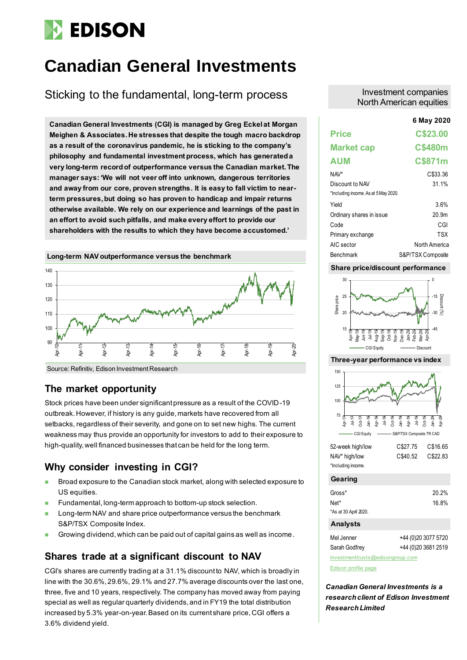# **EDISON**

# **Canadian General Investments**

# Sticking to the fundamental, long-term process

**6 May 2020 Canadian General Investments (CGI) is managed by Greg Eckel at Morgan Meighen & Associates. He stresses that despite the tough macro backdrop as a result of the coronavirus pandemic, he is sticking to the company's philosophy and fundamental investment process, which has generated a very long-term record of outperformance versus the Canadian market. The manager says: 'We will not veer off into unknown, dangerous territories and away from our core, proven strengths. It is easy to fall victim to nearterm pressures,but doing so has proven to handicap and impair returns otherwise available. We rely on our experience and learnings of the past in an effort to avoid such pitfalls, and make every effort to provide our shareholders with the results to which they have become accustomed.'**



Source: Refinitiv, Edison Investment Research

## **The market opportunity**

Stock prices have been under significant pressure as a result of the COVID-19 outbreak. However, if history is any guide, markets have recovered from all setbacks, regardless of their severity, and gone on to set new highs. The current weakness may thus provide an opportunity for investors to add to their exposure to high-quality, well financed businesses that can be held for the long term.

# **Why consider investing in CGI?**

- ◼ Broad exposure to the Canadian stock market, along with selected exposure to US equities.
- Fundamental, long-term approach to bottom-up stock selection.
- Long-term NAV and share price outperformance versus the benchmark S&P/TSX Composite Index.
- Growing dividend, which can be paid out of capital gains as well as income.

# **Shares trade at a significant discount to NAV**

CGI's shares are currently trading at a 31.1% discount to NAV, which is broadly in line with the 30.6%, 29.6%, 29.1% and 27.7% average discounts over the last one, three, five and 10 years, respectively. The company has moved away from paying special as well as regular quarterly dividends, and in FY19 the total distribution increased by 5.3% year-on-year. Based on its current share price, CGI offers a 3.6% dividend yield.

### Investment companies North American equities

|                                      | 6 May 2020        |
|--------------------------------------|-------------------|
| <b>Price</b>                         | C\$23.00          |
| <b>Market cap</b>                    | <b>C\$480m</b>    |
| <b>AUM</b>                           | C\$871m           |
| $NAV^*$                              | C\$33.36          |
| Discount to NAV                      | 31.1%             |
| *Including income. As at 5 May 2020. |                   |
| Yield                                | 3.6%              |
| Ordinary shares in issue             | 20.9 <sub>m</sub> |
| Code                                 | CGI               |
| Primary exchange                     | TSX               |
| AIC sector                           | North America     |
| <b>Benchmark</b>                     | S&P/TSX Composite |

#### **Share price/discount performance**



#### **Three-year performance vs index**



| JZ-WURLINGIN MU    | <b>UJZI.IJ</b> | $U \downarrow U U U$ |
|--------------------|----------------|----------------------|
| NAV* high/low      | C\$40.52       | C\$22.83             |
| *Including income. |                |                      |

**Gearing**

| Gross*                | 20.2% |
|-----------------------|-------|
| Net*                  | 16.8% |
| *As at 30 April 2020. |       |

#### **Analysts**

| Mel Jenner                       | +44 (0) 20 3077 5720 |
|----------------------------------|----------------------|
| Sarah Godfrey                    | +44 (0) 20 3681 2519 |
| investmenttrusts@edisongroup.com |                      |

[Edison profile page](https://www.edisongroup.com/company/canadian-general-investments/1655/)

*Canadian General Investments is a research client of Edison Investment Research Limited*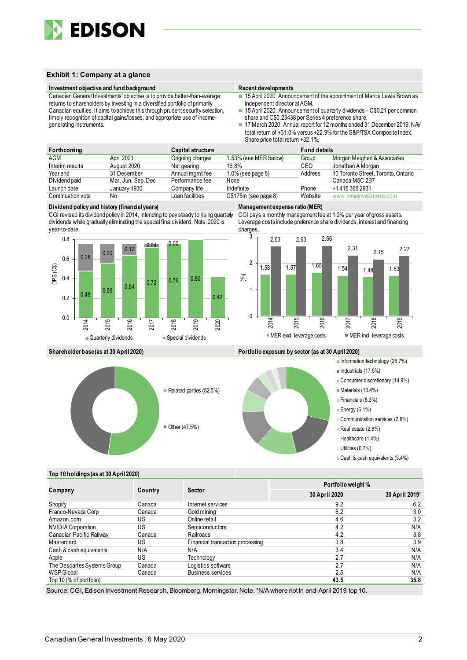

#### **Exhibit 1: Company at a glance**

#### **Investment objective and fund background Recent developments**

Canadian General Investments'objective is to provide better-than-average returns to shareholders by investing in a diversified portfolio of primarily Canadian equities. It aims to achieve this through prudent security selection, timely recognition of capital gains/losses, and appropriate use of incomegenerating instruments.

- 15 April 2020: Announcement of the appointment of Marcia Lewis Brown as independent director at AGM.
- 15 April 2020: Announcement of quarterly dividends C\$0.21 per common share and C\$0.23438 per Series 4 preference share.
- 17 March 2020: Annual report for 12 months ended 31 December 2019. NAV total return of +31.0% versus +22.9% for the S&P/TSX Composite Index. Share price total return +32.1%.

| Forthcoming       |                    | Capital structure |                       | <b>Fund details</b> |                                      |
|-------------------|--------------------|-------------------|-----------------------|---------------------|--------------------------------------|
| AGM               | April 2021         | Ongoing charges   | 1.53% (see MER below) | Group               | Morgan Meighen & Associates          |
| Interim results   | August 2020        | Net gearing       | 16.8%                 | CEO                 | Jonathan A Morgan                    |
| Year end          | 31 December        | Annual mgmt fee   | $1.0\%$ (see page 8)  | Address             | 10 Toronto Street, Toronto, Ontario, |
| Dividend paid     | Mar, Jun, Sep, Dec | Performance fee   | None                  |                     | Canada M5C 2B7                       |
| Launch date       | January 1930       | Company life      | Indefinite            | Phone               | +1 416 366 2931                      |
| Continuation vote | No                 | Loan facilities   | $C$175m$ (see page 8) | Website             | www.mmainvestments.com               |

#### **Dividend policy and history (financial years) Management expense ratio (MER)**

CGI revised its dividend policy in 2014, intending to pay steady to rising quarterly dividends while gradually eliminating the special final dividend. Note: 2020 is year-to-date.



CGI pays a monthly management fee at 1.0% per year of gross assets. Leverage costs include preference share dividends, interest and financing charges.



**Shareholder base (as at 30 April 2020) Portfolio exposure by sector (as at 30 April 2020)**



- Information technology (28.7%)
- $\blacksquare$  Industrials (17.5%)
	- Consumer discretionary (14.9%)
	- $M$ Materials (13.4%)
	- Financials (8.3%)
	- $\equiv$  Energy (6.1%)
	- Communication services (2.8%)
	- Real estate (2.8%)
	- Healthcare (1.4%)
	- Utilities (0.7%)
	- Cash & cash equivalents (3.4%)

#### **Top 10 holdings (as at 30 April 2020)**

|                             |         |                                  | Portfolio weight % |                |  |  |
|-----------------------------|---------|----------------------------------|--------------------|----------------|--|--|
| Company                     | Country | <b>Sector</b>                    | 30 April 2020      | 30 April 2019* |  |  |
| Shopify                     | Canada  | Internet services                | 9.2                | 6.2            |  |  |
| Franco-Nevada Corp          | Canada  | Gold mining                      | 6.2                | 3.0            |  |  |
| Amazon.com                  | US      | Online retail                    | 4.6                | 3.2            |  |  |
| <b>NVIDIA Corporation</b>   | US      | Semiconductors                   | 4.2                | N/A            |  |  |
| Canadian Pacific Railway    | Canada  | Railroads                        | 4.2                | 3.8            |  |  |
| Mastercard                  | US      | Financial transaction processing | 3.8                | 3.9            |  |  |
| Cash & cash equivalents     | N/A     | N/A                              | 3.4                | N/A            |  |  |
| Apple                       | US      | Technology                       | 2.7                | N/A            |  |  |
| The Descartes Systems Group | Canada  | Logistics software               | 2.7                | N/A            |  |  |
| <b>WSP Global</b>           | Canada  | <b>Business services</b>         | 2.5                | N/A            |  |  |
| Top 10 (% of portfolio)     |         |                                  | 43.5               | 35.8           |  |  |

Source: CGI, Edison Investment Research, Bloomberg, Morningstar. Note: \*N/A where not in end-April 2019 top 10.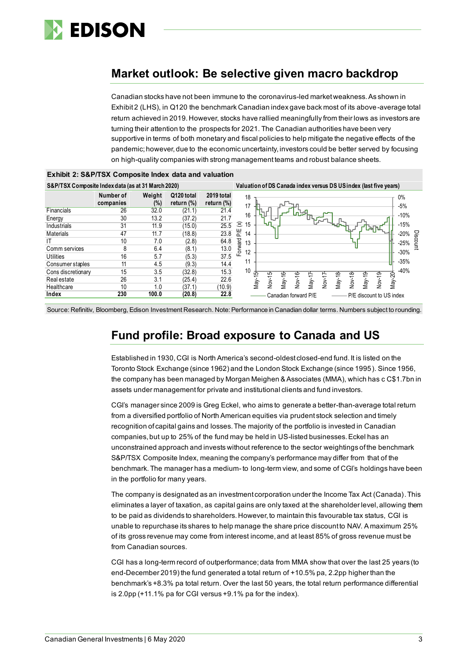

# **Market outlook: Be selective given macro backdrop**

Canadian stocks have not been immune to the coronavirus-led market weakness. As shown in Exhibit 2 (LHS), in Q120 the benchmark Canadian index gave back most of its above-average total return achieved in 2019. However, stocks have rallied meaningfully from their lows as investors are turning their attention to the prospects for 2021. The Canadian authorities have been very supportive in terms of both monetary and fiscal policies to help mitigate the negative effects of the pandemic; however, due to the economic uncertainty, investors could be better served by focusing on high-quality companies with strong management teams and robust balance sheets.





Source: Refinitiv, Bloomberg, Edison Investment Research. Note: Performance in Canadian dollar terms. Numbers subject to rounding.

# **Fund profile: Broad exposure to Canada and US**

Established in 1930, CGI is North America's second-oldest closed-end fund. It is listed on the Toronto Stock Exchange (since 1962) and the London Stock Exchange (since 1995). Since 1956, the company has been managed by Morgan Meighen & Associates (MMA), which has c C\$1.7bn in assets under management for private and institutional clients and fund investors.

CGI's manager since 2009 is Greg Eckel, who aims to generate a better-than-average total return from a diversified portfolio of North American equities via prudent stock selection and timely recognition of capital gains and losses. The majority of the portfolio is invested in Canadian companies, but up to 25% of the fund may be held in US-listed businesses. Eckel has an unconstrained approach and invests without reference to the sector weightings of the benchmark S&P/TSX Composite Index, meaning the company's performance may differ from that of the benchmark. The manager has a medium- to long-term view, and some of CGI's holdings have been in the portfolio for many years.

The company is designated as an investment corporation under the Income Tax Act (Canada). This eliminates a layer of taxation, as capital gains are only taxed at the shareholder level, allowing them to be paid as dividends to shareholders. However, to maintain this favourable tax status, CGI is unable to repurchase its shares to help manage the share price discount to NAV. A maximum 25% of its gross revenue may come from interest income, and at least 85% of gross revenue must be from Canadian sources.

CGI has a long-term record of outperformance; data from MMA show that over the last 25 years (to end-December 2019) the fund generated a total return of +10.5% pa, 2.2pp higher than the benchmark's +8.3% pa total return. Over the last 50 years, the total return performance differential is 2.0pp (+11.1% pa for CGI versus +9.1% pa for the index).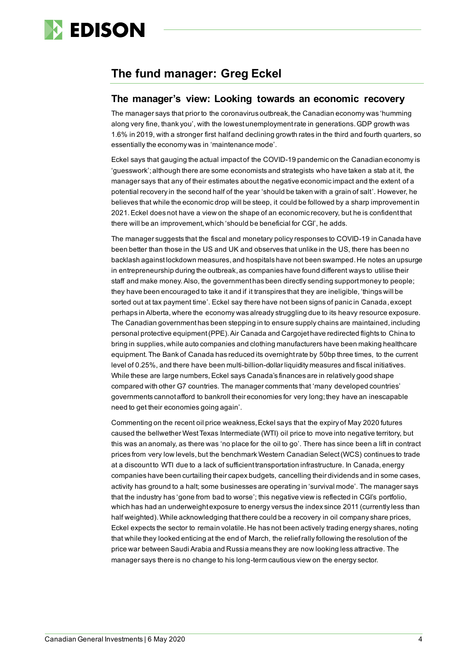

# **The fund manager: Greg Eckel**

### **The manager's view: Looking towards an economic recovery**

The manager says that prior to the coronavirus outbreak, the Canadian economy was 'humming along very fine, thank you', with the lowest unemployment rate in generations. GDP growth was 1.6% in 2019, with a stronger first half and declining growth rates in the third and fourth quarters, so essentially the economy was in 'maintenance mode'.

Eckel says that gauging the actual impact of the COVID-19 pandemic on the Canadian economy is 'guesswork';although there are some economists and strategists who have taken a stab at it, the manager says that any of their estimates about the negative economic impact and the extent of a potential recovery in the second half of the year 'should be taken with a grain of salt'. However, he believes that while the economic drop will be steep, it could be followed by a sharp improvement in 2021. Eckel does not have a view on the shape of an economic recovery, but he is confident that there will be an improvement, which 'should be beneficial for CGI', he adds.

The manager suggests that the fiscal and monetary policy responses to COVID-19 in Canada have been better than those in the US and UK and observes that unlike in the US, there has been no backlash against lockdown measures, and hospitals have not been swamped. He notes an upsurge in entrepreneurship during the outbreak, as companies have found different ways to utilise their staff and make money. Also, the government has been directly sending support money to people; they have been encouraged to take it and if it transpires that they are ineligible, 'things will be sorted out at tax payment time'. Eckel say there have not been signs of panic in Canada, except perhaps in Alberta, where the economy was already struggling due to its heavy resource exposure. The Canadian government has been stepping in to ensure supply chains are maintained, including personal protective equipment(PPE). Air Canada and Cargojet have redirected flights to China to bring in supplies, while auto companies and clothing manufacturers have been making healthcare equipment. The Bank of Canada has reduced its overnight rate by 50bp three times, to the current level of 0.25%, and there have been multi-billion-dollar liquidity measures and fiscal initiatives. While these are large numbers, Eckel says Canada's finances are in relatively good shape compared with other G7 countries. The manager comments that 'many developed countries' governments cannot afford to bankroll their economies for very long; they have an inescapable need to get their economies going again'.

Commenting on the recent oil price weakness, Eckel says that the expiry of May 2020 futures caused the bellwether West Texas Intermediate (WTI) oil price to move into negative territory, but this was an anomaly, as there was 'no place for the oil to go'. There has since been a lift in contract prices from very low levels, but the benchmark Western Canadian Select (WCS) continues to trade at a discount to WTI due to a lack of sufficient transportation infrastructure. In Canada, energy companies have been curtailing their capex budgets, cancelling their dividends and in some cases, activity has ground to a halt; some businesses are operating in 'survival mode'. The manager says that the industry has 'gone from bad to worse'; this negative view is reflected in CGI's portfolio, which has had an underweight exposure to energy versus the index since 2011 (currently less than half weighted).While acknowledging that there could be a recovery in oil company share prices, Eckel expects the sector to remain volatile. He has not been actively trading energy shares, noting that while they looked enticing at the end of March, the relief rally following the resolution of the price war between Saudi Arabia and Russia means they are now looking less attractive. The manager says there is no change to his long-term cautious view on the energy sector.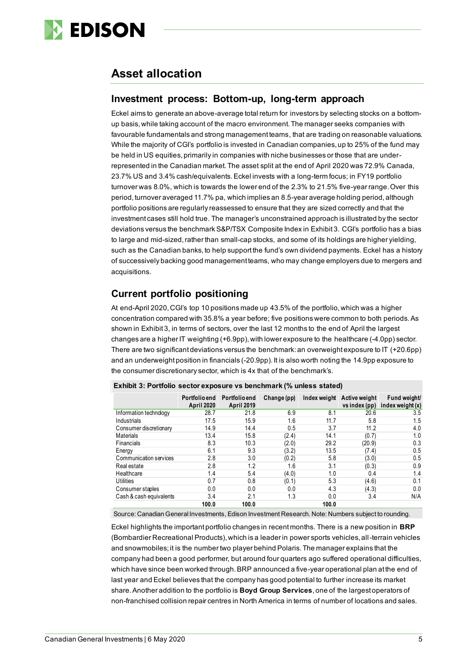

# **Asset allocation**

### **Investment process: Bottom-up, long-term approach**

Eckel aims to generate an above-average total return for investors by selecting stocks on a bottomup basis, while taking account of the macro environment. The manager seeks companies with favourable fundamentals and strong management teams, that are trading on reasonable valuations. While the majority of CGI's portfolio is invested in Canadian companies, up to 25% of the fund may be held in US equities, primarily in companies with niche businesses or those that are underrepresented in the Canadian market. The asset split at the end of April 2020 was 72.9% Canada, 23.7% US and 3.4% cash/equivalents. Eckel invests with a long-term focus; in FY19 portfolio turnover was 8.0%, which is towards the lower end of the 2.3% to 21.5% five-year range. Over this period, turnover averaged 11.7% pa, which implies an 8.5-year average holding period, although portfolio positions are regularly reassessed to ensure that they are sized correctly and that the investment cases still hold true. The manager's unconstrained approach is illustrated by the sector deviations versus the benchmark S&P/TSX Composite Index in Exhibit 3. CGI's portfolio has a bias to large and mid-sized, rather than small-cap stocks, and some of its holdings are higher yielding, such as the Canadian banks, to help support the fund's own dividend payments. Eckel has a history of successively backing good management teams, who may change employers due to mergers and acquisitions.

## **Current portfolio positioning**

At end-April 2020, CGI's top 10 positions made up 43.5% of the portfolio, which was a higher concentration compared with 35.8% a year before; five positions were common to both periods. As shown in Exhibit 3, in terms of sectors, over the last 12 months to the end of April the largest changes are a higher IT weighting (+6.9pp), with lower exposure to the healthcare (-4.0pp) sector. There are two significant deviations versus the benchmark:an overweight exposure to IT (+20.6pp) and an underweight position in financials (-20.9pp). It is also worth noting the 14.9pp exposure to the consumer discretionary sector, which is 4x that of the benchmark's.

|                         | Portfolio end<br><b>April 2020</b> | Portfolio end<br><b>April 2019</b> | Change (pp) | Index weight | Active weight<br>vs index (pp) | Fund weight<br>index weight (x) |
|-------------------------|------------------------------------|------------------------------------|-------------|--------------|--------------------------------|---------------------------------|
| Information technology  | 28.7                               | 21.8                               | 6.9         | 8.1          | 20.6                           | 3.5                             |
| Industrials             | 17.5                               | 15.9                               | 1.6         | 11.7         | 5.8                            | 1.5                             |
| Consumer discretionary  | 14.9                               | 14.4                               | 0.5         | 3.7          | 11.2                           | 4.0                             |
| <b>Materials</b>        | 13.4                               | 15.8                               | (2.4)       | 14.1         | (0.7)                          | 1.0                             |
| Financials              | 8.3                                | 10.3                               | (2.0)       | 29.2         | (20.9)                         | 0.3                             |
| Energy                  | 6.1                                | 9.3                                | (3.2)       | 13.5         | (7.4)                          | 0.5                             |
| Communication services  | 2.8                                | 3.0                                | (0.2)       | 5.8          | (3.0)                          | 0.5                             |
| Real estate             | 2.8                                | 1.2                                | 1.6         | 3.1          | (0.3)                          | 0.9                             |
| Healthcare              | 1.4                                | 5.4                                | (4.0)       | 1.0          | 0.4                            | 1.4                             |
| <b>Utilities</b>        | 0.7                                | 0.8                                | (0.1)       | 5.3          | (4.6)                          | 0.1                             |
| Consumer staples        | 0.0                                | 0.0                                | 0.0         | 4.3          | (4.3)                          | 0.0                             |
| Cash & cash equivalents | 3.4                                | 2.1                                | 1.3         | 0.0          | 3.4                            | N/A                             |
|                         | 100.0                              | 100.0                              |             | 100.0        |                                |                                 |

**Exhibit 3: Portfolio sector exposure vs benchmark (% unless stated)**

Source: Canadian General Investments, Edison Investment Research. Note: Numbers subject to rounding.

Eckel highlights the important portfolio changes in recent months. There is a new position in **BRP** (Bombardier Recreational Products), which is a leader in power sports vehicles, all-terrain vehicles and snowmobiles; it is the number two player behind Polaris. The manager explains that the company had been a good performer, but around four quarters ago suffered operational difficulties, which have since been worked through. BRP announced a five-year operational plan at the end of last year and Eckel believes that the company has good potential to further increase its market share. Another addition to the portfolio is **Boyd Group Services**, one of the largest operators of non-franchised collision repair centres in North America in terms of number of locations and sales.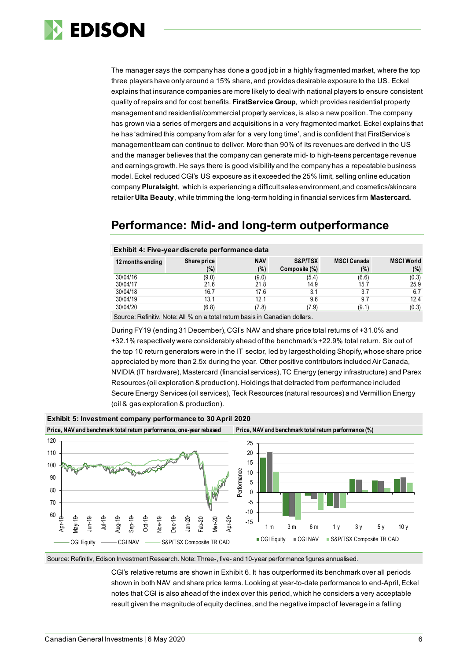

The manager says the company has done a good job in a highly fragmented market, where the top three players have only around a 15% share, and provides desirable exposure to the US. Eckel explains that insurance companies are more likely to deal with national players to ensure consistent quality of repairs and for cost benefits. **FirstService Group**, which provides residential property management and residential/commercial property services, is also a new position. The company has grown via a series of mergers and acquisitions in a very fragmented market. Eckel explains that he has 'admired this company from afar for a very long time', and is confident that FirstService's management team can continue to deliver. More than 90% of its revenues are derived in the US and the manager believes that the company can generate mid- to high-teens percentage revenue and earnings growth. He says there is good visibility and the company has a repeatable business model.Eckel reduced CGI's US exposure as it exceeded the 25% limit, selling online education company **Pluralsight**, which is experiencing a difficult sales environment, and cosmetics/skincare retailer **Ulta Beauty**, while trimming the long-term holding in financial services firm **Mastercard.**

# **Performance: Mid- and long-term outperformance**

| 12 months ending | Share price<br>(%) | <b>NAV</b><br>(%) | S&P/TSX<br>Composite (%) | <b>MSCI Canada</b><br>$(\%)$ | <b>MSCI World</b><br>(%) |
|------------------|--------------------|-------------------|--------------------------|------------------------------|--------------------------|
| 30/04/16         |                    |                   |                          |                              |                          |
| 30/04/17         | (9.0)              | (9.0)             | (5.4)                    | (6.6)                        | (0.3)<br>25.9            |
|                  | 21.6               | 21.8              | 14.9                     | 15.7                         |                          |
| 30/04/18         | 16.7               | 17.6              | 3.1                      | 3.7                          | 6.7                      |
| 30/04/19         | 13.1               | 12.1              | 9.6                      | 9.7                          | 12.4                     |
| 30/04/20         | (6.8)              | (7.8)             | (7.9)                    | (9.1)                        | (0.3)                    |

#### **Exhibit 4: Five-year discrete performance data**

Source: Refinitiv. Note: All % on a total return basis in Canadian dollars.

During FY19 (ending 31 December), CGI's NAV and share price total returns of +31.0% and +32.1% respectively were considerably ahead of the benchmark's +22.9% total return. Six out of the top 10 return generators were in the IT sector, led by largest holding Shopify, whose share price appreciated by more than 2.5x during the year. Other positive contributors included Air Canada, NVIDIA (IT hardware), Mastercard (financial services), TC Energy (energy infrastructure) and Parex Resources (oil exploration & production). Holdings that detracted from performance included Secure Energy Services (oil services), Teck Resources (natural resources) and Vermillion Energy (oil & gas exploration & production).



Source: Refinitiv, Edison Investment Research. Note: Three-, five- and 10-year performance figures annualised.

CGI's relative returns are shown in Exhibit 6. It has outperformed its benchmark over all periods shown in both NAV and share price terms. Looking at year-to-date performance to end-April, Eckel notes that CGI is also ahead of the index over this period, which he considers a very acceptable result given the magnitude of equity declines, and the negative impact of leverage in a falling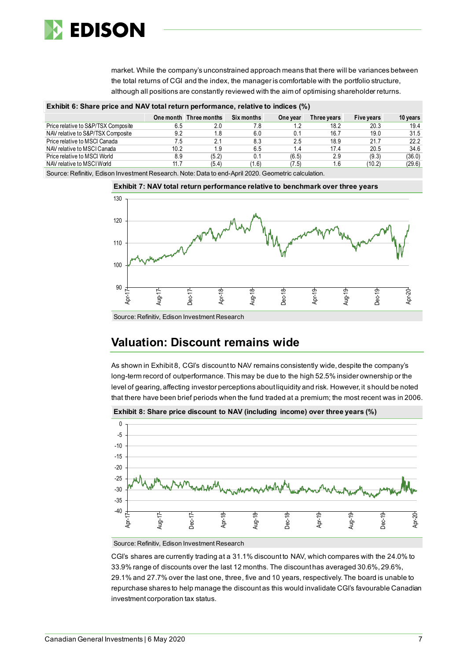

market. While the company's unconstrained approach means that there will be variances between the total returns of CGI and the index, the manager is comfortable with the portfolio structure, although all positions are constantly reviewed with the aim of optimising shareholder returns.

| Exhibit 6: Share price and NAV total return performance, relative to indices (%) |  |
|----------------------------------------------------------------------------------|--|
|                                                                                  |  |
|                                                                                  |  |

|                                     |      | One month Three months | Six months | One vear | Three vears | Five vears | 10 years |
|-------------------------------------|------|------------------------|------------|----------|-------------|------------|----------|
| Price relative to S&P/TSX Composite | 6.5  | 2.0                    | 7.8        | .2       | 18.2        | 20.3       | 19.4     |
| NAV relative to S&P/TSX Composite   | 9.2  | 1.8                    | 6.0        |          | 16.7        | 19.0       | 31.5     |
| Price relative to MSCI Canada       | 7.5  | 2.1                    | 8.3        | 2.5      | 18.9        | 21.7       | 22.2     |
| NAV relative to MSCI Canada         | 10.2 | 1.9                    | 6.5        | 1.4      | 17.4        | 20.5       | 34.6     |
| Price relative to MSCI World        | 8.9  | (5.2)                  | 0.1        | (6.5)    | 2.9         | (9.3)      | (36.0)   |
| NAV relative to MSCI World          | 11.7 | (5.4)                  | (1.6)      | (7.5)    | 1.6         | (10.2)     | (29.6)   |

Source: Refinitiv, Edison Investment Research. Note: Data to end-April 2020. Geometric calculation.



Source: Refinitiv, Edison Investment Research

# **Valuation: Discount remains wide**

As shown in Exhibit 8, CGI's discount to NAV remains consistently wide, despite the company's long-term record of outperformance. This may be due to the high 52.5% insider ownership or the level of gearing, affecting investor perceptions about liquidity and risk. However, it should be noted that there have been brief periods when the fund traded at a premium; the most recent was in 2006.



**Exhibit 8: Share price discount to NAV (including income) over three years (%)**

Source: Refinitiv, Edison Investment Research

CGI's shares are currently trading at a 31.1% discount to NAV, which compares with the 24.0% to 33.9% range of discounts over the last 12 months. The discount has averaged 30.6%, 29.6%, 29.1% and 27.7% over the last one, three, five and 10 years, respectively. The board is unable to repurchase shares to help manage the discount as this would invalidate CGI's favourable Canadian investment corporation tax status.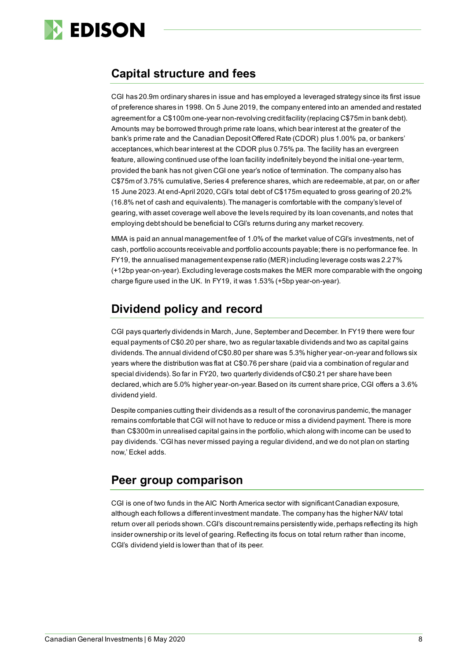

# **Capital structure and fees**

CGI has 20.9m ordinary shares in issue and has employed a leveraged strategy since its first issue of preference shares in 1998. On 5 June 2019, the company entered into an amended and restated agreement for a C\$100m one-year non-revolving credit facility (replacing C\$75m in bank debt). Amounts may be borrowed through prime rate loans, which bear interest at the greater of the bank's prime rate and the Canadian Deposit Offered Rate (CDOR) plus 1.00% pa, or bankers' acceptances, which bear interest at the CDOR plus 0.75% pa. The facility has an evergreen feature, allowing continued use of the loan facility indefinitely beyond the initial one-year term, provided the bank has not given CGI one year's notice of termination. The company also has C\$75m of 3.75% cumulative, Series 4 preference shares, which are redeemable, at par, on or after 15 June 2023.At end-April 2020, CGI's total debt of C\$175m equated to gross gearing of 20.2% (16.8% net of cash and equivalents).The manager is comfortable with the company's level of gearing, with asset coverage well above the levels required by its loan covenants, and notes that employing debt should be beneficial to CGI's returns during any market recovery.

MMA is paid an annual management fee of 1.0% of the market value of CGI's investments, net of cash, portfolio accounts receivable and portfolio accounts payable; there is no performance fee. In FY19, the annualised management expense ratio (MER) including leverage costs was 2.27% (+12bp year-on-year). Excluding leverage costs makes the MER more comparable with the ongoing charge figure used in the UK. In FY19, it was 1.53% (+5bp year-on-year).

# **Dividend policy and record**

CGI pays quarterly dividends in March, June, September and December. In FY19 there were four equal payments of C\$0.20 per share, two as regular taxable dividends and two as capital gains dividends. The annual dividend of C\$0.80 per share was 5.3% higher year-on-year and follows six years where the distribution was flat at C\$0.76 per share (paid via a combination of regular and special dividends).So far in FY20, two quarterly dividends of C\$0.21 per share have been declared, which are 5.0% higher year-on-year.Based on its current share price, CGI offers a 3.6% dividend yield.

Despite companies cutting their dividends as a result of the coronavirus pandemic, the manager remains comfortable that CGI will not have to reduce or miss a dividend payment. There is more than C\$300m in unrealised capital gains in the portfolio, which along with income can be used to pay dividends. 'CGI has never missed paying a regular dividend, and we do not plan on starting now,' Eckel adds.

# **Peer group comparison**

CGI is one of two funds in the AIC North America sector with significant Canadian exposure, although each follows a different investment mandate. The company has the higher NAV total return over all periods shown. CGI's discount remains persistently wide, perhaps reflecting its high insider ownership or its level of gearing. Reflecting its focus on total return rather than income, CGI's dividend yield is lower than that of its peer.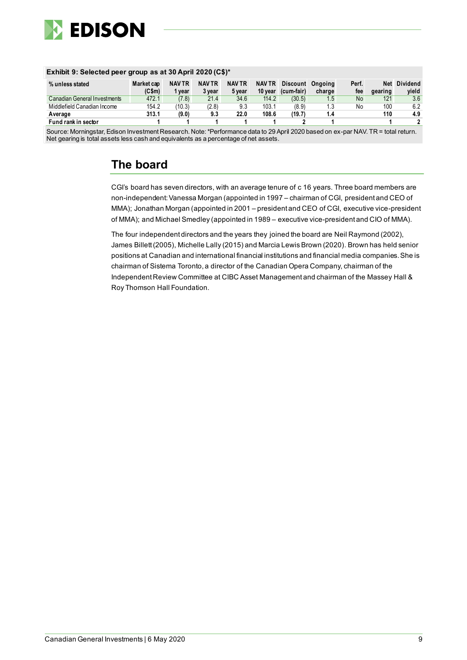

#### **Exhibit 9: Selected peer group as at 30 April 2020 (C\$)\* % unless stated Market cap (C\$m) NAV TR 1 year NAV TR 3 year NAV TR 5 year NAV TR Discount Ongoing 10 year (cum-fair)** charge<br>1.5 **Perf.** fee<br>No **Net Dividend gearing** yield<br>3.6 Canadian General Investments 472.1 (7.8) 21.4 34.6 114.2 (30.5) 1.5 No 121 3.6<br>Middlefield Canadian Income 154.2 (10.3) (2.8) 9.3 103.1 (8.9) 1.3 No 100 6.2 Middlefield Canadian Income 154.2 (10.3) (2.8) 9.3 103.1 (8.9) 1.3 No 100 6.2 **Average 313.1 (9.0) 9.3 22.0 108.6 (19.7) 1.4 110 4.9 Fund rank in sector 1 1 1 1 1 2 1 1 2**

Source: Morningstar, Edison Investment Research. Note: \*Performance data to 29 April 2020 based on ex-par NAV. TR = total return. Net gearing is total assets less cash and equivalents as a percentage of net assets.

# **The board**

CGI's board has seven directors, with an average tenure of c 16 years. Three board members are non-independent: Vanessa Morgan (appointed in 1997 – chairman of CGI, president and CEO of MMA); Jonathan Morgan (appointed in 2001 – president and CEO of CGI, executive vice-president of MMA); and Michael Smedley (appointed in 1989 – executive vice-president and CIO of MMA).

The four independent directors and the years they joined the board are Neil Raymond (2002), James Billett (2005), Michelle Lally (2015) and Marcia Lewis Brown (2020). Brown has held senior positions at Canadian and international financial institutions and financial media companies.She is chairman of Sistema Toronto, a director of the Canadian Opera Company, chairman of the Independent Review Committee at CIBC Asset Management and chairman of the Massey Hall & Roy Thomson Hall Foundation.